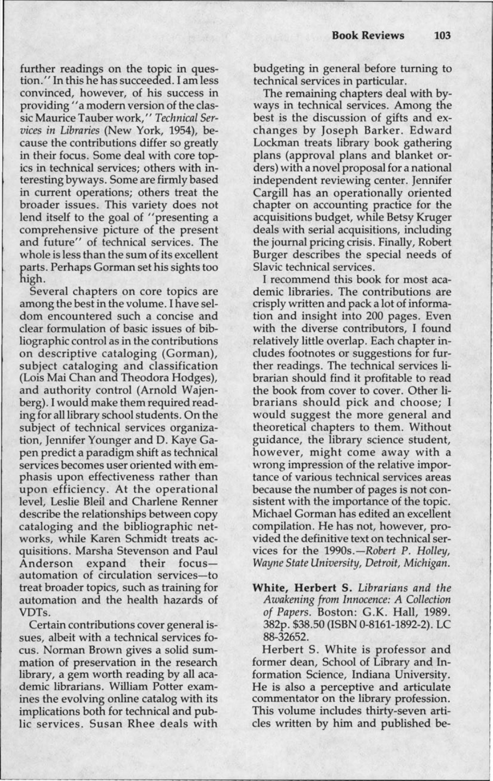further readings on the topic in question.'' In this he has succeeded. I am less convinced, however, of his success in providing ''a modern version of the classic Maurice Tauber work,'' *Technical Services in Libraries* (New York, 1954), because the contributions differ so greatly in their focus. Some deal with core topics in technical services; others with interesting byways. Some are firmly based in current operations; others treat the broader issues. This variety does not lend itself to the goal of ''presenting a comprehensive picture of the present and future" of technical services. The whole is less than the sum of its excellent parts. Perhaps Gorman set his sights too high.

Several chapters on core topics are among the best in the volume. I have seldom encountered such a concise and clear formulation of basic issues of bibliographic control as in the contributions on descriptive cataloging (Gorman), subject cataloging and classification (Lois Mai Chan and Theodora Hodges), and authority control (Arnold Wajenberg). I would make them required reading for all library school students. On the subject of technical services organization, Jennifer Younger and D. Kaye Capen predict a paradigm shift as technical services becomes user oriented with emphasis upon effectiveness rather than upon efficiency. At the operational level, Leslie Bleil and Charlene Renner describe the relationships between copy cataloging and the bibliographic networks, while Karen Schmidt treats acquisitions. Marsha Stevenson and Paul Anderson expand their focusautomation of circulation services-to treat broader topics, such as training for automation and the health hazards of VDTs.

Certain contributions cover general issues, albeit with a technical services focus. Norman Brown gives a solid summation of preservation in the research library, a gem worth reading by all academic librarians. William Potter examines the evolving online catalog with its implications both for technical and public services. Susan Rhee deals with budgeting in general before turning to technical services in particular.

The remaining chapters deal with byways in technical services. Among the best is the discussion of gifts and exchanges by Joseph Barker. Edward Lockman treats library book gathering plans (approval plans and blanket orders) with a novel proposal for a national independent reviewing center. Jennifer Cargill has an operationally oriented chapter on accounting practice for the acquisitions budget, while Betsy Kruger deals with serial acquisitions, including the journal pricing crisis. Finally, Robert Burger describes the special needs of Slavic technical services.

I recommend this book for most academic libraries. The contributions are crisply written and pack a lot of information and insight into 200 pages. Even with the diverse contributors, I found relatively little overlap. Each chapter includes footnotes or suggestions for further readings. The technical services librarian should find it profitable to read the book from cover to cover. Other librarians should pick and choose; I would suggest the more general and theoretical chapters to them. Without guidance, the library science student, however, might come away with a wrong impression of the relative importance of various technical services areas because the number of pages is not consistent with the importance of the topic. Michael Gorman has edited an excellent compilation. He has not, however, provided the definitive text on technical services for the 1990s.-Robert P. Holley, *Wayne State University, Detroit, Michigan.* 

**White, Herbert** S. *Librarians and the Awakening from Innocence: A Collection of Papers.* Boston: G.K. Hall, 1989. 382p. \$38.50 (ISBN 0-8161-1892-2). LC 88-32652.

Herbert S. White is professor and former dean, School of Library and Information Science, Indiana University. He is also a perceptive and articulate commentator on the library profession. This volume includes thirty-seven articles written by him and published be-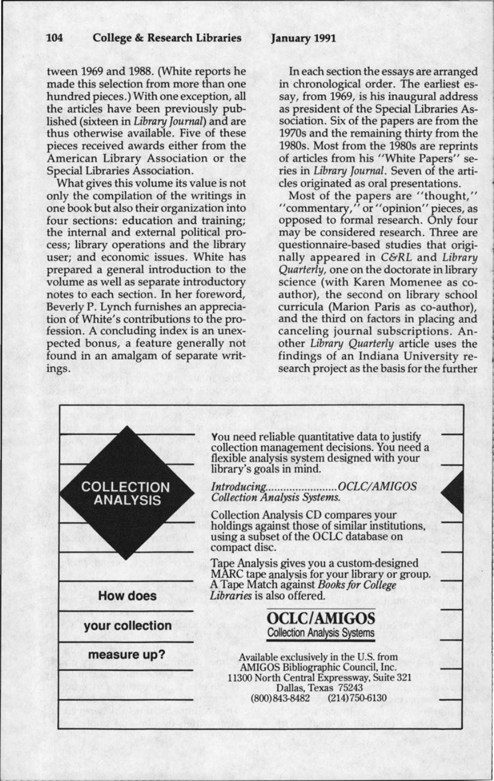## **January 1991**

tween 1969 and 1988. (White reports he made this selection from more than one hundred pieces.) With one exception, all the articles have been previously published (sixteen in *Library Journal)* and are thus otherwise available. Five of these pieces received awards either from the American Library Association or the Special Libraries Association.

What gives this volume its value is not only the compilation of the writings in one book but also their organization into four sections: education and training; the internal and external political process; library operations and the library user; and economic issues. White has prepared a general introduction to the volume as well as separate introductory notes to each section. In her foreword, Beverly P. Lynch furnishes an appreciation of White's contributions to the profession. A concluding index is an unexpected bonus, a feature generally not found in an amalgam of separate writings.

In each section the essays are arranged in chronological order. The earliest essay, from 1969, is his inaugural address as president of the Special Libraries Association. Six of the papers are from the 1970s and the remaining thirty from the 1980s. Most from the 1980s are reprints of articles from his "White Papers" series in *Library Journal.* Seven of the articles originated as oral presentations.

Most of the papers are "thought," "commentary," or "opinion" pieces, as opposed to formal research. Only four may be considered research. Three are questionnaire-based studies that originally appeared in *C&RL* and *Library Quarterly,* one on the doctorate in library science (with Karen Momenee as coauthor), the second on library school curricula (Marion Paris as co-author), and the third on factors in placing and canceling journal subscriptions. Another *Library Quarterly* article uses the findings of an Indiana University research project as the basis for the further

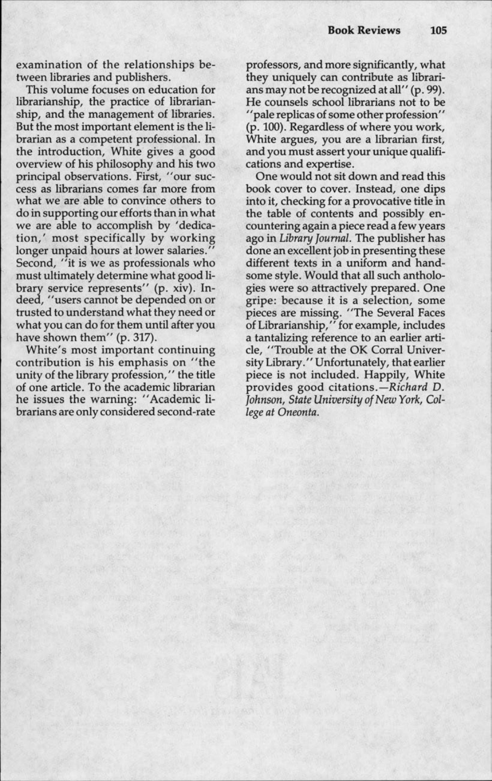examination of the relationships between libraries and publishers.

This volume focuses on education for librarianship, the practice of librarianship, and the management of libraries. But the most important element is the librarian as a competent professional. In the introduction, White gives a good overview of his philosophy and his two principal observations. First, "our success as librarians comes far more from what we are able to convince others to do in supporting our efforts than in what we are able to accomplish by 'dedication,' most specifically by working longer unpaid hours at lower salaries." Second, "it is we as professionals who must ultimately determine what good library service represents" (p. xiv). Indeed, "users cannot be depended on or trusted to understand what they need or what you can do for them until after you have shown them" (p. 317).

White's most important continuing contribution is his emphasis on "the unity of the library profession,'' the title of one article. To the academic librarian he issues the warning: "Academic librarians are only considered second-rate professors, and more significantly, what they uniquely can contribute as librarians may not be recognized at all" (p. 99). He counsels school librarians not to be '<sup>1</sup>pale replicas of some other profession'' (p. 100). Regardless of where you work, White argues, you are a librarian first, and you must assert your unique qualifications and expertise.

One would not sit down and read this book cover to cover. Instead, one dips into it, checking for a provocative title in the table of contents and possibly encountering again a piece read a few years ago in *Library Journal.* The publisher has done an excellent job in presenting these different texts in a uniform and handsome style. Would that all such anthologies were so attractively prepared. One gripe: because it is a selection, some pieces are missing. "The Several Faces of Librarianship," for example, includes a tantalizing reference to an earlier article, "Trouble at the OK Corral University Library.'' Unfortunately, that earlier piece is not included. Happily, White provides good citations.-Richard D. *Johnson, State University of New York, College at Oneonta.*